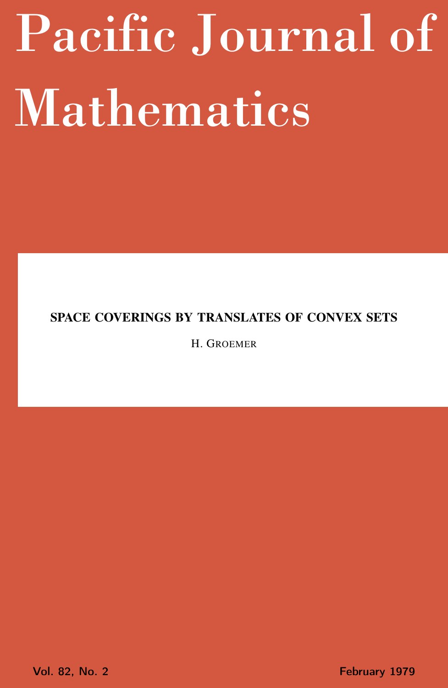# <span id="page-0-0"></span>Pacific Journal of Mathematics

# SPACE COVERINGS BY TRANSLATES OF CONVEX SETS

H. GROEMER

Vol. 82, No. 2 **February 1979**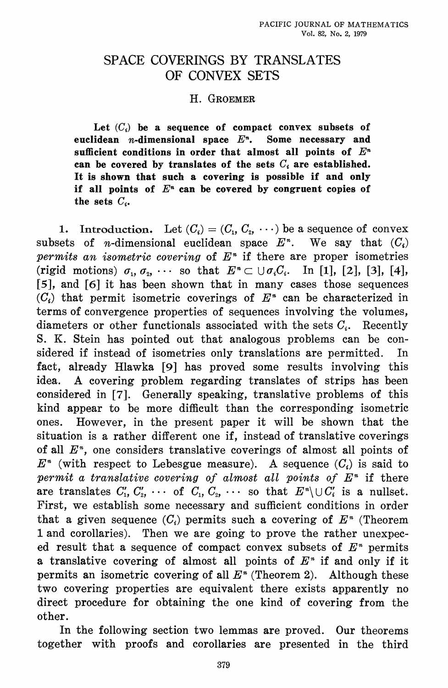## SPACE COVERINGS BY TRANSLATES OF CONVEX SETS

### H. GROEMER

Let  $(C_i)$  be a sequence of compact convex subsets of euclidean *n*-dimensional space  $E<sup>n</sup>$ . Some necessary and sufficient conditions in order that almost all points of  $E<sup>n</sup>$ can be covered by translates of the sets  $C_i$  are established. It is shown that such a covering is possible if and only if all points of  $E<sup>n</sup>$  can be covered by congruent copies of the sets  $C_i$ .

1. Introduction. Let  $(C_i) = (C_1, C_2, \cdots)$  be a sequence of convex subsets of *n*-dimensional euclidean space  $E^*$ . We say that  $(C_i)$ permits an isometric covering of  $E^*$  if there are proper isometries (rigid motions)  $\sigma_1, \sigma_2, \cdots$  so that  $E^* \subset \bigcup \sigma_i C_i$ . In [1], [2], [3], [4], [5], and [6] it has been shown that in many cases those sequences  $(C_i)$  that permit isometric coverings of  $E^*$  can be characterized in terms of convergence properties of sequences involving the volumes, diameters or other functionals associated with the sets  $C_i$ . Recently S. K. Stein has pointed out that analogous problems can be considered if instead of isometries only translations are permitted. In fact, already Hlawka [9] has proved some results involving this A covering problem regarding translates of strips has been idea. considered in [7]. Generally speaking, translative problems of this kind appear to be more difficult than the corresponding isometric However, in the present paper it will be shown that the ones. situation is a rather different one if, instead of translative coverings of all  $E^*$ , one considers translative coverings of almost all points of  $E<sup>n</sup>$  (with respect to Lebesgue measure). A sequence  $(C<sub>i</sub>)$  is said to permit a translative covering of almost all points of  $E<sup>n</sup>$  if there are translates  $C'_1, C'_2, \cdots$  of  $C_1, C_2, \cdots$  so that  $E^* \setminus \cup C'_i$  is a nullset. First, we establish some necessary and sufficient conditions in order that a given sequence  $(C_i)$  permits such a covering of  $E^*$  (Theorem 1 and corollaries). Then we are going to prove the rather unexpeced result that a sequence of compact convex subsets of  $E<sup>n</sup>$  permits a translative covering of almost all points of  $E<sup>n</sup>$  if and only if it permits an isometric covering of all  $E<sup>n</sup>$  (Theorem 2). Although these two covering properties are equivalent there exists apparently no direct procedure for obtaining the one kind of covering from the other.

In the following section two lemmas are proved. Our theorems together with proofs and corollaries are presented in the third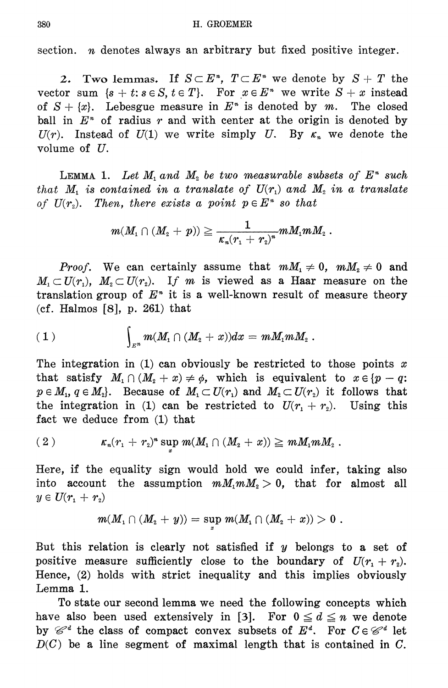section.  $n$  denotes always an arbitrary but fixed positive integer.

2. Two lemmas. If  $S \subset E^*$ ,  $T \subset E^*$  we denote by  $S + T$  the vector sum  $\{s + t : s \in S, t \in T\}$ . For  $x \in E^*$  we write  $S + x$  instead of  $S + \{x\}$ . Lebesgue measure in  $E^*$  is denoted by m. The closed ball in  $E<sup>n</sup>$  of radius r and with center at the origin is denoted by  $U(r)$ . Instead of  $U(1)$  we write simply U. By  $\kappa_n$  we denote the volume of  $U$ .

LEMMA 1. Let  $M_1$  and  $M_2$  be two measurable subsets of  $E^*$  such that M, is contained in a translate of  $U(r_1)$  and  $M_2$  in a translate of  $U(r_2)$ . Then, there exists a point  $p \in E^*$  so that

$$
m(M_1\cap (M_2\,+\,p))\geqq \frac{1}{\kappa_n(r_1\,+\,r_2)^n}mM_1mM_2\;.
$$

*Proof.* We can certainly assume that  $mM_1 \neq 0$ ,  $mM_2 \neq 0$  and  $M_1 \subset U(r_1)$ ,  $M_2 \subset U(r_2)$ . If m is viewed as a Haar measure on the translation group of  $E<sup>n</sup>$  it is a well-known result of measure theory (cf. Halmos  $[8]$ , p. 261) that

(1) 
$$
\int_{E^n} m(M_1 \cap (M_2 + x)) dx = mM_1mM_2.
$$

The integration in (1) can obviously be restricted to those points x that satisfy  $M_1 \cap (M_2 + x) \neq \emptyset$ , which is equivalent to  $x \in \{p-q\}$ .  $p \in M_1, q \in M_2$ . Because of  $M_1 \subset U(r_1)$  and  $M_2 \subset U(r_2)$  it follows that the integration in (1) can be restricted to  $U(r_1 + r_2)$ . Using this fact we deduce from (1) that

(2) 
$$
\kappa_n(r_1 + r_2)^* \sup_x m(M_1 \cap (M_2 + x)) \geq mM_1mM_2.
$$

Here, if the equality sign would hold we could infer, taking also into account the assumption  $mM_1mM_2 > 0$ , that for almost all  $y\in U(r_1\,+\,r_2)$ 

$$
m(M_{_1}\cap (M_{_2}+y))=\sup_x m(M_{_1}\cap (M_{_2}+x))>0\,\,.
$$

But this relation is clearly not satisfied if  $y$  belongs to a set of positive measure sufficiently close to the boundary of  $U(r_1 + r_2)$ . Hence, (2) holds with strict inequality and this implies obviously Lemma 1.

To state our second lemma we need the following concepts which have also been used extensively in [3]. For  $0 \le d \le n$  we denote by  $\mathcal{C}^d$  the class of compact convex subsets of  $E^d$ . For  $C \in \mathcal{C}^d$  let  $D(C)$  be a line segment of maximal length that is contained in C.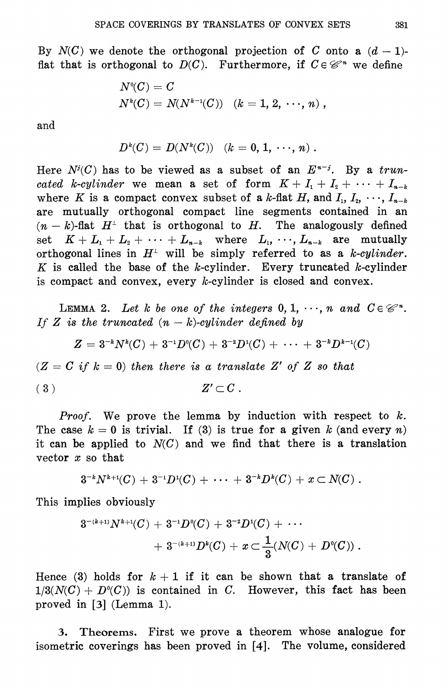By  $N(C)$  we denote the orthogonal projection of C onto a  $(d-1)$ flat that is orthogonal to  $D(C)$ . Furthermore, if  $C \in \mathcal{C}^n$  we define

$$
N^{0}(C) = C
$$
  

$$
N^{k}(C) = N(N^{k-1}(C)) \quad (k = 1, 2, \cdots, n),
$$

and

$$
D^k(C) = D(N^k(C)) \quad (k = 0, 1, \cdots, n) \; .
$$

Here  $N^{i}(C)$  has to be viewed as a subset of an  $E^{n-j}$ . By a truncated k-cylinder we mean a set of form  $K + I_1 + I_2 + \cdots + I_{n-k}$ where K is a compact convex subset of a k-flat H, and  $I_1, I_2, \dots, I_{n-k}$ are mutually orthogonal compact line segments contained in an  $(n-k)$ -flat  $H^{\perp}$  that is orthogonal to H. The analogously defined set  $K + L_1 + L_2 + \cdots + L_{n-k}$  where  $L_1, \cdots, L_{n-k}$  are mutually orthogonal lines in  $H^{\perp}$  will be simply referred to as a k-cylinder. K is called the base of the k-cylinder. Every truncated k-cylinder is compact and convex, every  $k$ -cylinder is closed and convex.

LEMMA 2. Let k be one of the integers  $0, 1, \dots, n$  and  $C \in \mathcal{C}^n$ . If Z is the truncated  $(n-k)$ -cylinder defined by

$$
Z = 3^{-k}N^{k}(C) + 3^{-1}D^{0}(C) + 3^{-2}D^{1}(C) + \cdots + 3^{-k}D^{k-1}(C)
$$

 $(Z = C \text{ if } k = 0)$  then there is a translate Z' of Z so that

$$
(3) \t\t Z' \subset C
$$

*Proof.* We prove the lemma by induction with respect to  $k$ . The case  $k = 0$  is trivial. If (3) is true for a given k (and every n) it can be applied to  $N(C)$  and we find that there is a translation vector  $x$  so that

$$
3^{-k}N^{k+1}(C) + 3^{-1}D^1(C) + \cdots + 3^{-k}D^k(C) + x \subset N(C) \; .
$$

This implies obviously

$$
\begin{aligned} 3^{-(k+1)}N^{k+1}(C) \, + \, 3^{-1}D^0(C) \, + \, 3^{-2}D^1(C) \, + \, \cdots \\ \quad + \, 3^{-(k+1)}D^k(C) \, + \, x \, {\subset} \, \frac{1}{3}(N(C) \, + \, D^0(C)) \; . \end{aligned}
$$

Hence (3) holds for  $k+1$  if it can be shown that a translate of  $1/3(N(C) + D<sup>o</sup>(C))$  is contained in C. However, this fact has been proved in  $[3]$  (Lemma 1).

Theorems. First we prove a theorem whose analogue for  $3.$ isometric coverings has been proved in [4]. The volume, considered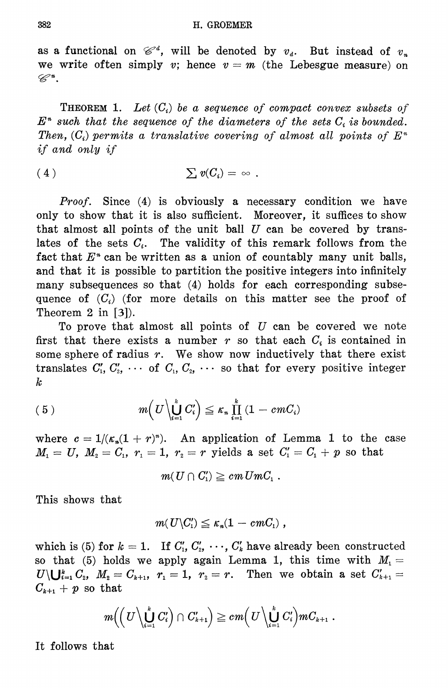as a functional on  $\mathcal{C}^d$ , will be denoted by  $v_d$ . But instead of  $v_n$ we write often simply v; hence  $v = m$  (the Lebesgue measure) on  $\mathscr{C}^n.$ 

**THEOREM 1.** Let  $(C_i)$  be a sequence of compact convex subsets of  $E<sup>n</sup>$  such that the sequence of the diameters of the sets  $C<sub>i</sub>$  is bounded. Then,  $(C_i)$  permits a translative covering of almost all points of  $E^*$ *if and only if* 

$$
(4) \t\t \sum v(C_i) = \infty
$$

*Proof.* Since (4) is obviously a necessary condition we have only to show that it is also sufficient. Moreover, it suffices to show that almost all points of the unit ball  $U$  can be covered by translates of the sets  $C_i$ . The validity of this remark follows from the fact that  $E^*$  can be written as a union of countably many unit balls, and that it is possible to partition the positive integers into infinitely many subsequences so that (4) holds for each corresponding subsequence of  $(C_i)$  (for more details on this matter see the proof of Theorem 2 in  $[3]$ .

To prove that almost all points of  $U$  can be covered we note first that there exists a number  $r$  so that each  $C_i$  is contained in some sphere of radius  $r$ . We show now inductively that there exist translates  $C'_1, C'_2, \cdots$  of  $C_1, C_2, \cdots$  so that for every positive integer  $\boldsymbol{k}$ 

(5) 
$$
m\left(U\left\backslash \bigcup_{i=1}^k C_i'\right)\leq \kappa_n \prod_{i=1}^k \left(1-cmC_i\right)
$$

where  $c = 1/(\kappa_n(1+r)^n)$ . An application of Lemma 1 to the case  $M_1 = U$ ,  $M_2 = C_1$ ,  $r_1 = 1$ ,  $r_2 = r$  yields a set  $C_1' = C_1 + p$  so that

$$
m(U\cap C'_1)\geq cm\,UmC_1\;.
$$

This shows that

$$
m(U\backslash C'_1)\leq \kappa_n(1-cmC_1)\ ,
$$

which is (5) for  $k = 1$ . If  $C'_1, C'_2, \cdots, C'_k$  have already been constructed so that (5) holds we apply again Lemma 1, this time with  $M_1 =$  $U \setminus \bigcup_{i=1}^k C_i$ ,  $M_2 = C_{k+1}$ ,  $r_1 = 1$ ,  $r_2 = r$ . Then we obtain a set  $C'_{k+1} =$  $C_{k+1} + p$  so that

$$
m\Big(\Big(\,U\,\Big\backslash\bigcup_{i=1}^k\,C'_i\Big)\cap\,C'_{k+1}\Big)\geq c\;\!m\Big(\,U\,\Big\backslash\bigcup_{i=1}^k\,C'_i\Big)mC_{k+1}\;.
$$

It follows that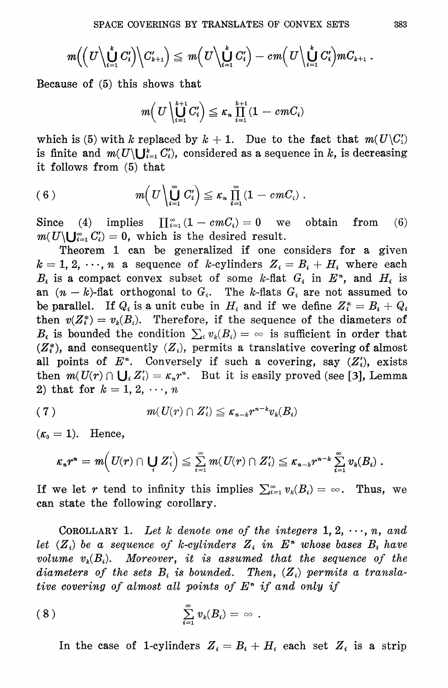$$
m\Big(\Big(U\Big\backslash \bigcup_{i=1}^k C'_i\Big)\Big\backslash C'_{k+1}\Big)\leq\ m\Big(U\Big\backslash \bigcup_{i=1}^k C'_i\Big)-cm\Big(U\Big\backslash \bigcup_{i=1}^k C'_i\Big) m C_{k+1}\;.
$$

Because of  $(5)$  this shows that

$$
m\Big(\,U\,\Big\backslash\bigcup_{i=1}^{k+1}C'_i\Big)\leq \kappa_n\,\prod_{i=1}^{k+1}(1-cmC_i)
$$

which is (5) with k replaced by  $k + 1$ . Due to the fact that  $m(U\setminus C'_1)$ is finite and  $m(U\setminus U_{i=1}^k C'_i)$ , considered as a sequence in k, is decreasing it follows from (5) that

(6) 
$$
m\left(U\left\backslash \bigcup_{i=1}^{\infty} C'_i\right)\leq \kappa_n \prod_{i=1}^{\infty} (1-cmC_i).
$$

 $\prod_{i=1}^{\infty} (1 - cmC_i) = 0$  we  $Since$  $(4)$  implies obtain from  $(6)$  $m(U\setminus\bigcup_{i=1}^{\infty} C'_i)=0$ , which is the desired result.

Theorem 1 can be generalized if one considers for a given  $k = 1, 2, \dots, n$  a sequence of k-cylinders  $Z_i = B_i + H_i$  where each  $B_i$  is a compact convex subset of some k-flat  $G_i$  in  $E^*$ , and  $H_i$  is an  $(n-k)$ -flat orthogonal to  $G_i$ . The k-flats  $G_i$  are not assumed to be parallel. If  $Q_i$  is a unit cube in  $H_i$  and if we define  $Z_i^* = B_i + Q_i$ then  $v(Z_i^*) = v_k(B_i)$ . Therefore, if the sequence of the diameters of  $B_i$  is bounded the condition  $\sum_i v_k(B_i) = \infty$  is sufficient in order that  $(Z_i^*)$ , and consequently  $(Z_i)$ , permits a translative covering of almost all points of  $E^*$ . Conversely if such a covering, say  $(Z_i)$ , exists then  $m(U(r) \cap \bigcup_i Z'_i) = \kappa_n r^n$ . But it is easily proved (see [3], Lemma 2) that for  $k = 1, 2, \dots, n$ 

$$
(7) \t\t\t\t m(U(r) \cap Z_i') \leq \kappa_{n-k} r^{n-k} v_k(B_i)
$$

 $(\kappa_0 = 1)$ . Hence,

$$
\kappa_n r^n = m\Big(\textit{U}(r) \cap \bigcup_i Z_i'\Big) \leqq \textstyle\sum\limits_{i=1}^\infty m(U(r) \cap Z_i') \leqq \kappa_{n-k} r^{n-k} \textstyle\sum\limits_{i=1}^\infty v_k(B_i)\;.
$$

If we let r tend to infinity this implies  $\sum_{i=1}^{\infty} v_i(B_i) = \infty$ . Thus, we can state the following corollary.

COROLLARY 1. Let k denote one of the integers  $1, 2, \dots, n$ , and let  $(Z_i)$  be a sequence of k-cylinders  $Z_i$  in  $E^*$  whose bases  $B_i$  have volume  $v_k(B_i)$ . Moreover, it is assumed that the sequence of the diameters of the sets  $B_i$  is bounded. Then,  $(Z_i)$  permits a translative covering of almost all points of  $E<sup>n</sup>$  if and only if

$$
(8) \qquad \qquad \sum_{i=1}^{\infty} v_k(B_i) = \infty
$$

In the case of 1-cylinders  $Z_i = B_i + H_i$  each set  $Z_i$  is a strip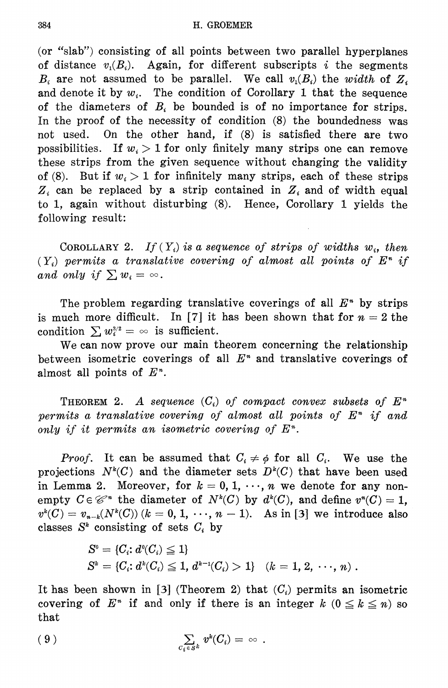(or "slab") consisting of all points between two parallel hyperplanes of distance  $v_i(B_i)$ . Again, for different subscripts i the segments  $B_i$  are not assumed to be parallel. We call  $v_i(B_i)$  the width of  $Z_i$ and denote it by  $w_i$ . The condition of Corollary 1 that the sequence of the diameters of  $B_i$  be bounded is of no importance for strips. In the proof of the necessity of condition (8) the boundedness was On the other hand, if (8) is satisfied there are two not used. possibilities. If  $w_i > 1$  for only finitely many strips one can remove these strips from the given sequence without changing the validity of (8). But if  $w_i > 1$  for infinitely many strips, each of these strips  $Z_i$  can be replaced by a strip contained in  $Z_i$  and of width equal to 1, again without disturbing (8). Hence, Corollary 1 yields the following result:

COROLLARY 2. If  $(Y_i)$  is a sequence of strips of widths  $w_i$ , then  $(Y_i)$  permits a translative covering of almost all points of  $E^n$  if and only if  $\sum w_i = \infty$ .

The problem regarding translative coverings of all  $E^*$  by strips is much more difficult. In [7] it has been shown that for  $n = 2$  the condition  $\sum w_i^{3/2} = \infty$  is sufficient.

We can now prove our main theorem concerning the relationship between isometric coverings of all  $E^*$  and translative coverings of almost all points of  $E<sup>n</sup>$ .

**THEOREM 2.** A sequence  $(C_i)$  of compact convex subsets of  $E^n$ permits a translative covering of almost all points of  $E<sup>n</sup>$  if and only if it permits an isometric covering of  $E<sup>n</sup>$ .

*Proof.* It can be assumed that  $C_i \neq \phi$  for all  $C_i$ . We use the projections  $N^k(C)$  and the diameter sets  $D^k(C)$  that have been used in Lemma 2. Moreover, for  $k = 0, 1, \dots, n$  we denote for any nonempty  $C \in \mathcal{C}^*$  the diameter of  $N^k(C)$  by  $d^k(C)$ , and define  $v^*(C) = 1$ ,  $v^k(C) = v_{n-k}(N^k(C))$   $(k = 0, 1, \dots, n-1)$ . As in [3] we introduce also classes  $S^k$  consisting of sets  $C_i$  by

$$
S^{\circ} = \{C_i : d^{\circ}(C_i) \leq 1\}
$$
  
\n
$$
S^k = \{C_i : d^k(C_i) \leq 1, d^{k-1}(C_i) > 1\} \quad (k = 1, 2, \dots, n).
$$

It has been shown in [3] (Theorem 2) that  $(C_i)$  permits an isometric covering of  $E^*$  if and only if there is an integer  $k$   $(0 \le k \le n)$  so that

$$
(9) \qquad \qquad \sum_{c_i \in S^k} v^k(C_i) = \infty.
$$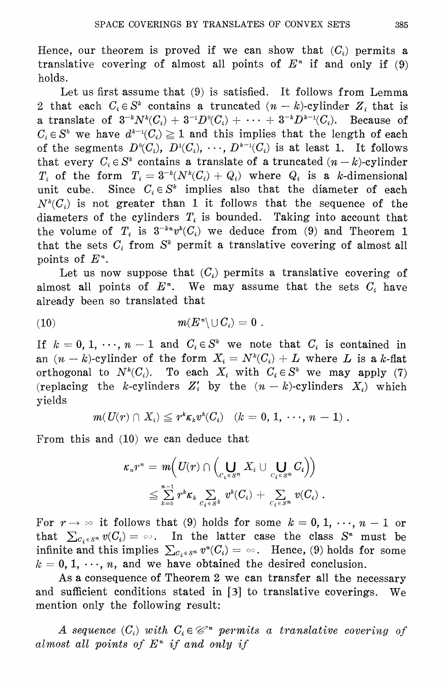Hence, our theorem is proved if we can show that  $(C_i)$  permits a translative covering of almost all points of  $E<sup>n</sup>$  if and only if (9) holds.

Let us first assume that (9) is satisfied. It follows from Lemma 2 that each  $C_i \in S^k$  contains a truncated  $(n-k)$ -cylinder  $Z_i$  that is a translate of  $3^{-k}N^{k}(C_i) + 3^{-1}D^{0}(C_i) + \cdots + 3^{-k}D^{k-1}(C_i)$ . Because of  $C_i \in S^k$  we have  $d^{k-1}(C_i) \geq 1$  and this implies that the length of each of the segments  $D^0(C_i)$ ,  $D^1(C_i)$ ,  $\cdots$ ,  $D^{k-1}(C_i)$  is at least 1. It follows that every  $C_i \in S^k$  contains a translate of a truncated  $(n-k)$ -cylinder  $T_i$  of the form  $T_i = 3^{-k}(N^k(C_i) + Q_i)$  where  $Q_i$  is a k-dimensional Since  $C_i \in S^k$  implies also that the diameter of each unit cube.  $N^k(C_i)$  is not greater than 1 it follows that the sequence of the diameters of the cylinders  $T_i$  is bounded. Taking into account that the volume of  $T_i$  is  $3^{-kn}v^k(C_i)$  we deduce from (9) and Theorem 1 that the sets  $C_i$  from  $S^k$  permit a translative covering of almost all points of  $E<sup>n</sup>$ .

Let us now suppose that  $(C_i)$  permits a translative covering of almost all points of  $E<sup>n</sup>$ . We may assume that the sets  $C<sub>i</sub>$  have already been so translated that

$$
m(E^*\setminus \cup C_i)=0.
$$

If  $k = 0, 1, \dots, n-1$  and  $C_i \in S^k$  we note that  $C_i$  is contained in an  $(n - k)$ -cylinder of the form  $X_i = N^k(C_i) + L$  where L is a k-flat orthogonal to  $N^k(C_i)$ . To each  $X_i$  with  $C_i \in S^k$  we may apply (7) (replacing the k-cylinders  $Z_i'$  by the  $(n-k)$ -cylinders  $X_i$ ) which vields

$$
m(U(r) \cap X_i) \leq r^k \kappa_k v^k(C_i) \quad (k = 0, 1, \cdots, n-1).
$$

From this and  $(10)$  we can deduce that

$$
\begin{aligned} \kappa_* r^* & = \, \mathit{m} \Big( U(r) \cap \Big( \bigcup_{C_i \in S^n} X_i \cup \bigcup_{C_i \in S^n} C_i \Big) \Big) \\ & \leq \sum_{k=0}^{n-1} r^k \kappa_k \sum_{C_i \in S^k} \, v^k(C_i) \, + \, \sum_{C_i \in S^n} \, v(C_i) \; . \end{aligned}
$$

For  $r \to \infty$  it follows that (9) holds for some  $k = 0, 1, \dots, n - 1$  or that  $\sum_{C_i \in S^n} v(C_i) = \infty$ . In the latter case the class  $S^n$  must be infinite and this implies  $\sum_{C_i \in S^n} v^n(C_i) = \infty$ . Hence, (9) holds for some  $k = 0, 1, \dots, n$ , and we have obtained the desired conclusion.

As a consequence of Theorem 2 we can transfer all the necessary and sufficient conditions stated in [3] to translative coverings.  $We$ mention only the following result:

A sequence  $(C_i)$  with  $C_i \in \mathcal{C}^*$  permits a translative covering of almost all points of  $E<sup>n</sup>$  if and only if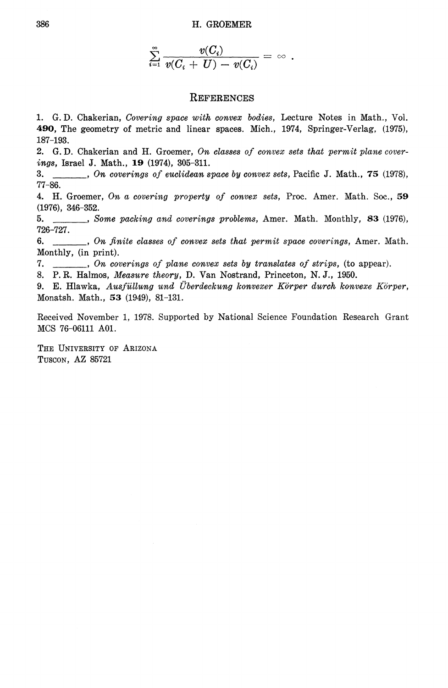$$
\textstyle \sum\limits_{i=1}^\infty \frac{v(C_i)}{v(C_i+U)-v(C_i)}=\,\infty\,\,.
$$

### **REFERENCES**

1. G.D. Chakerian, Covering space with convex bodies, Lecture Notes in Math., Vol. 490, The geometry of metric and linear spaces. Mich., 1974, Springer-Verlag, (1975),  $187 - 193.$ 

2. G.D. Chakerian and H. Groemer, On classes of convex sets that permit plane coverings, Israel J. Math., 19 (1974), 305-311.

3.  $77 - 86.$ 

4. H. Groemer, On a covering property of convex sets, Proc. Amer. Math. Soc., 59  $(1976), 346-352.$ 

..., Some packing and coverings problems, Amer. Math. Monthly, 83 (1976), 5. 726-727.

6. \_\_\_\_\_, On finite classes of convex sets that permit space coverings, Amer. Math. Monthly, (in print).

7.  $\ldots$ , On coverings of plane convex sets by translates of strips, (to appear).

8. P. R. Halmos, Measure theory, D. Van Nostrand, Princeton, N. J., 1950.

9. E. Hlawka, Ausfüllung und Überdeckung konvexer Körper durch konvexe Körper, Monatsh. Math., 53 (1949), 81-131.

Received November 1, 1978. Supported by National Science Foundation Research Grant MCS 76-06111 A01.

THE UNIVERSITY OF ARIZONA TUSCON, AZ 85721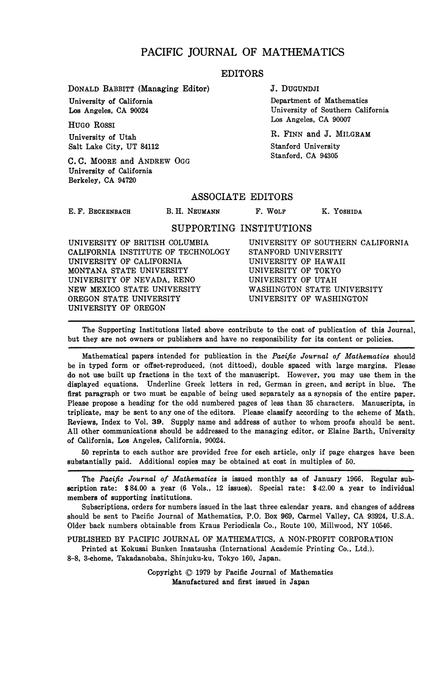### **PACIFIC JOURNAL OF MATHEMATICS**

### EDITORS

**DONALD BABBITT (Managing Editor)**

**University of California Los Angeles, CA 90024**

**HUGO ROSSI University of Utah Salt Lake City, UT 84112**

**C. C. MOORE and ANDREW OGG University of California Berkeley, CA 94720**

**J. DUGUNDJI**

**Department of Mathematics University of Southern California Los Angeles, CA 90007**

**R. FINN and J. MILGRAM Stanford University Stanford, CA 94305**

### ASSOCIATE EDITORS

**E. F. BECKENBACH**

B. H. NEUMANN F. WOLF K. YOSHIDA

### SUPPORTING INSTITUTIONS

**UNIVERSITY OF BRITISH COLUMBIA CALIFORNIA INSTITUTE OF TECHNOLOGY UNIVERSITY OF CALIFORNIA MONTANA STATE UNIVERSITY UNIVERSITY OF NEVADA, RENO NEW MEXICO STATE UNIVERSITY OREGON STATE UNIVERSITY UNIVERSITY OF OREGON**

**UNIVERSITY OF SOUTHERN CALIFORNIA STANFORD UNIVERSITY UNIVERSITY OF HAWAII UNIVERSITY OF TOKYO UNIVERSITY OF UTAH WASHINGTON STATE UNIVERSITY UNIVERSITY OF WASHINGTON**

**The Supporting Institutions listed above contribute to the cost of publication of this Journal, but they are not owners or publishers and have no responsibility for its content or policies.**

**Mathematical papers intended for publication in the** *Pacific Journal of Mathematics* **should be in typed form or offset-reproduced, (not dittoed), double spaced with large margins. Please do not use built up fractions in the text of the manuscript. However, you may use them in the displayed equations. Underline Greek letters in red, German in green, and script in blue. The first paragraph or two must be capable of being used separately as a synopsis of the entire paper. Please propose a heading for the odd numbered pages of less than 35 characters. Manuscripts, in triplicate, may be sent to any one of the editors. Please classify according to the scheme of Math. Reviews, Index to Vol. 39. Supply name and address of author to whom proofs should be sent. All other communications should be addressed to the managing editor, or Elaine Barth, University of California, Los Angeles, California, 90024.**

**50 reprints to each author are provided free for each article, only if page charges have been substantially paid. Additional copies may be obtained at cost in multiples of 50.**

**The** *Pacific Journal of Mathematics* **is issued monthly as of January 1966. Regular subscription rate: \$84.00 a year (6 Vols., 12 issues). Special rate: \$42.00 a year to individual members of supporting institutions.**

**Subscriptions, orders for numbers issued in the last three calendar years, and changes of address should be sent to Pacific Journal of Mathematics, P.O. Box 969, Carmel Valley, CA 93924, U.S.A. Older back numbers obtainable from Kraus Periodicals Co., Route 100, Millwood, NY 10546.**

**PUBLISHED BY PACIFIC JOURNAL OF MATHEMATICS, A NON-PROFIT CORPORATION**

**Printed at Kokusai Bunken Insatsusha (International Academic Printing Co., Ltd.). 8-8, 3-chome, Takadanobaba, Shinjuku-ku, Tokyo 160, Japan.**

> **Copyright © 1979 by Pacific Journal of Mathematics Manufactured and first issued in Japan**